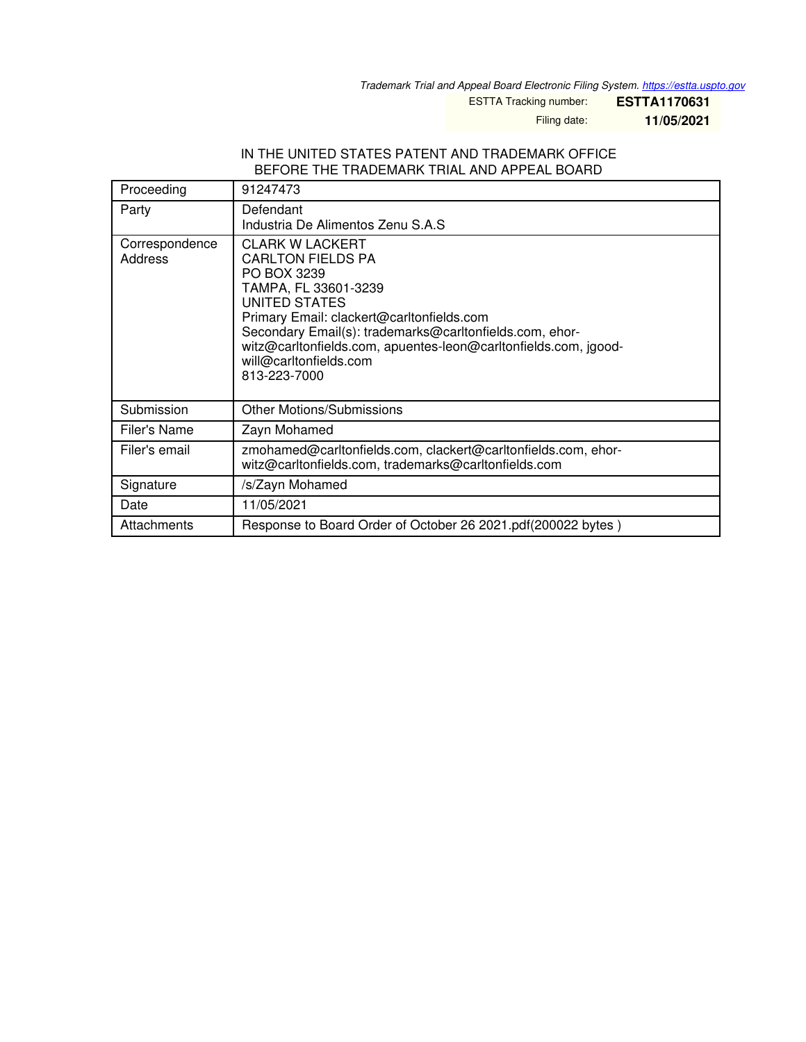*Trademark Trial and Appeal Board Electronic Filing System. <https://estta.uspto.gov>*

ESTTA Tracking number: **ESTTA1170631**

Filing date: **11/05/2021**

#### IN THE UNITED STATES PATENT AND TRADEMARK OFFICE BEFORE THE TRADEMARK TRIAL AND APPEAL BOARD

| Proceeding                | 91247473                                                                                                                                                                                                                                                                                                                        |
|---------------------------|---------------------------------------------------------------------------------------------------------------------------------------------------------------------------------------------------------------------------------------------------------------------------------------------------------------------------------|
| Party                     | Defendant<br>Industria De Alimentos Zenu S.A.S                                                                                                                                                                                                                                                                                  |
| Correspondence<br>Address | <b>CLARK W LACKERT</b><br><b>CARLTON FIELDS PA</b><br>PO BOX 3239<br>TAMPA, FL 33601-3239<br>UNITED STATES<br>Primary Email: clackert@carltonfields.com<br>Secondary Email(s): trademarks@carltonfields.com, ehor-<br>witz@carltonfields.com, apuentes-leon@carltonfields.com, jgood-<br>will@carltonfields.com<br>813-223-7000 |
| Submission                | <b>Other Motions/Submissions</b>                                                                                                                                                                                                                                                                                                |
| Filer's Name              | Zayn Mohamed                                                                                                                                                                                                                                                                                                                    |
| Filer's email             | zmohamed@carltonfields.com, clackert@carltonfields.com, ehor-<br>witz@carltonfields.com, trademarks@carltonfields.com                                                                                                                                                                                                           |
| Signature                 | /s/Zayn Mohamed                                                                                                                                                                                                                                                                                                                 |
| Date                      | 11/05/2021                                                                                                                                                                                                                                                                                                                      |
| Attachments               | Response to Board Order of October 26 2021.pdf(200022 bytes)                                                                                                                                                                                                                                                                    |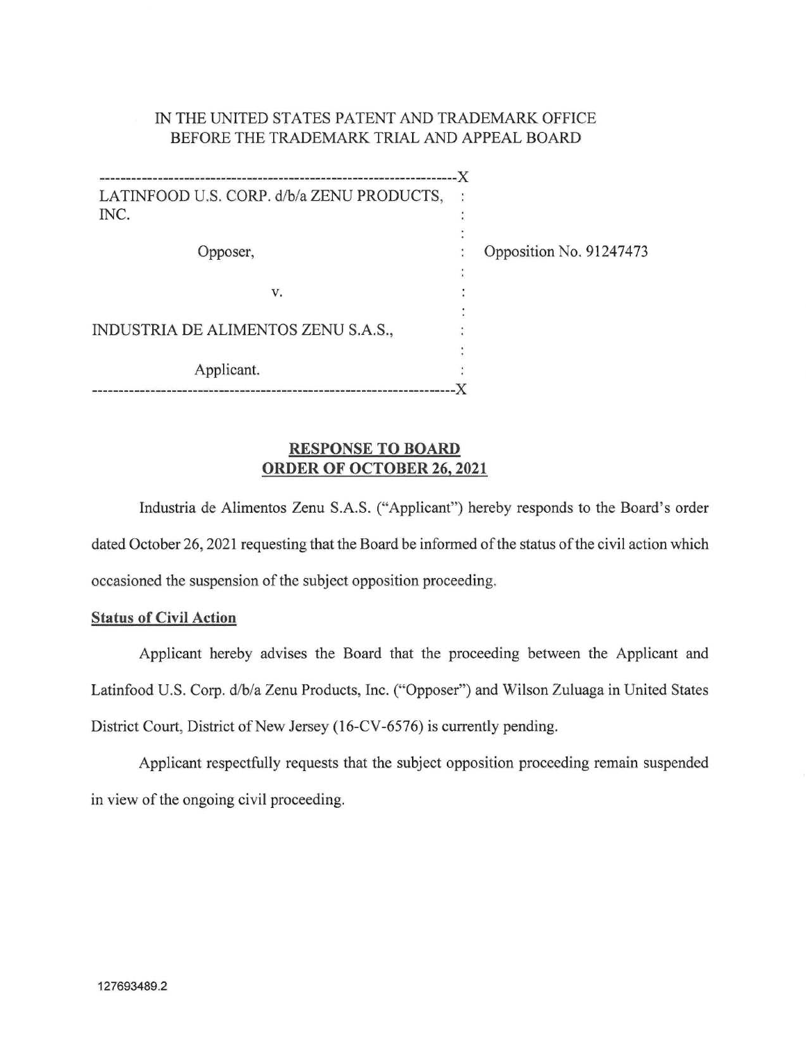## IN THE UNITED STATES PATENT AND TRADEMARK OFFICE BEFORE THE TRADEMARK TRIAL AND APPEAL BOARD

| LATINFOOD U.S. CORP. d/b/a ZENU PRODUCTS,<br>INC. |  |                         |
|---------------------------------------------------|--|-------------------------|
|                                                   |  |                         |
|                                                   |  |                         |
| Opposer,                                          |  | Opposition No. 91247473 |
|                                                   |  |                         |
| v.                                                |  |                         |
|                                                   |  |                         |
| INDUSTRIA DE ALIMENTOS ZENU S.A.S.,               |  |                         |
|                                                   |  |                         |
| Applicant.                                        |  |                         |
|                                                   |  |                         |

### RESPONSE TO BOARD ORDER OF OCTOBER 26, 2021

Industria de Alimentos Zenu S.A.S. ("Applicant") hereby responds to the Board's order dated October 26, 2021 requesting that the Board be informed of the status of the civil action which occasioned the suspension of the subject opposition proceeding.

### Status of Civil Action

Applicant hereby advises the Board that the proceeding between the Applicant and Latinfood U.S. Corp. d/b/a Zenu Products, Inc. ("Opposer") and Wilson Zuluaga in United States District Court, District of New Jersey (16-CV-6576) is currently pending.

Applicant respectfully requests that the subject opposition proceeding remain suspended in view of the ongoing civil proceeding.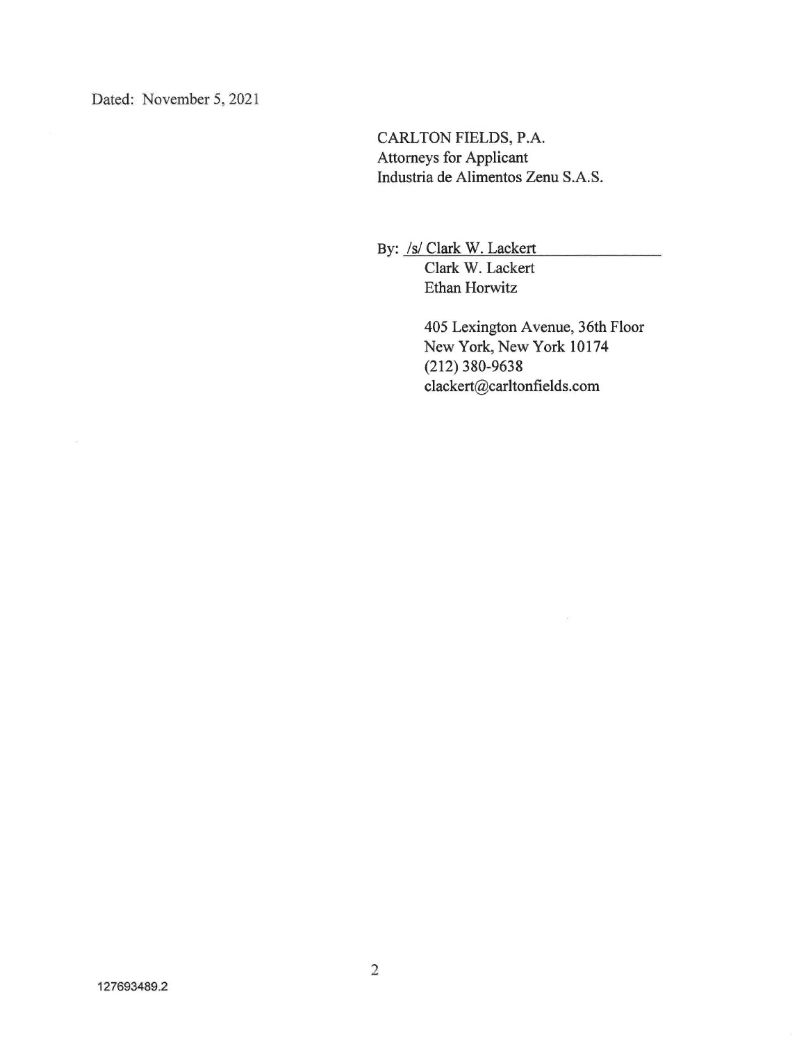Dated: November 5, 2021

CARLTON FIELDS, P.A. Attorneys for Applicant Industria de Alimentos Zenu S.A.S.

By: /s/ Clark W. Lackert Clark W. Lackert Ethan Horwitz

> 405 Lexington Avenue, 36th Floor New York, New York 10174 (212) 380-9638 clackert@carltonfields.com